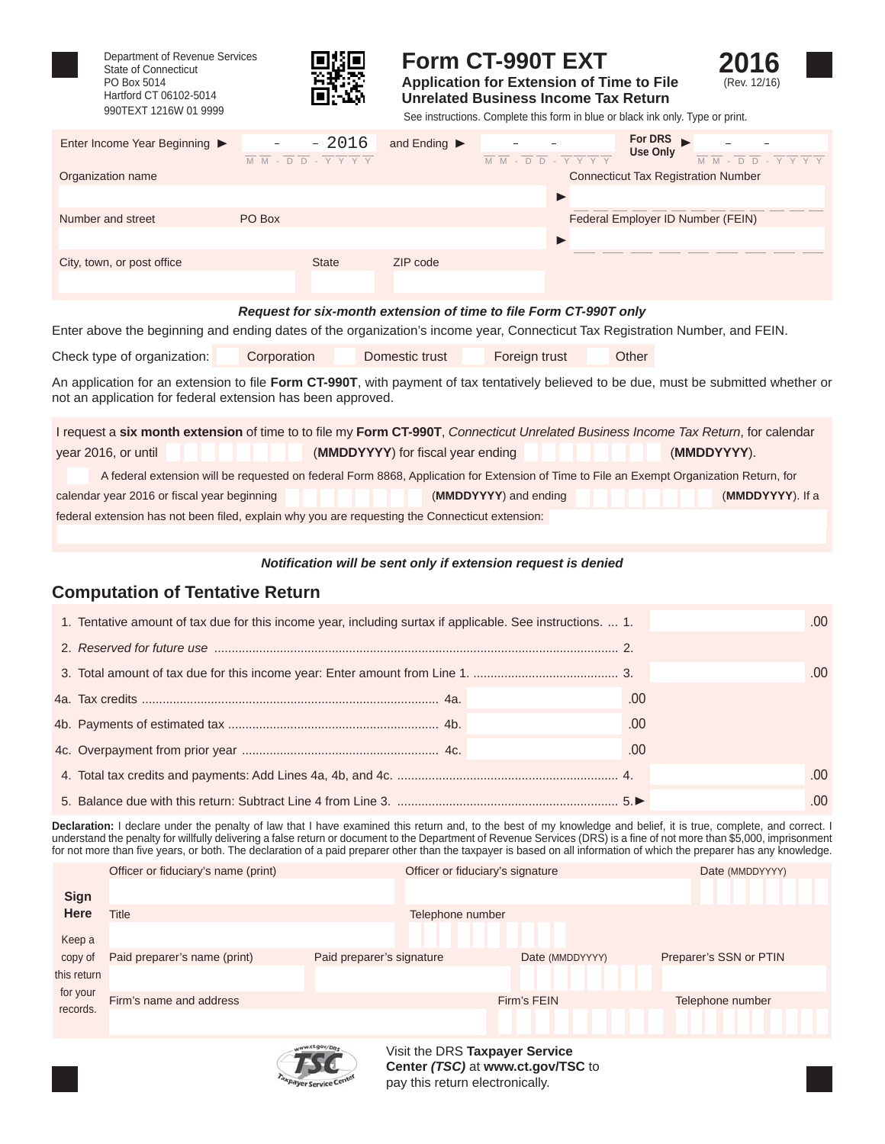

Department of Revenue Services State of Connecticut PO Box 5014 Hartford CT 06102-5014



# **Form CT-990T EXT**

**Application for Extension of Time to File Unrelated Business Income Tax Return**



990TEXT 1216W 01 9999 See instructions. Complete this form in blue or black ink only. Type or print.

| Enter Income Year Beginning ▶ | $-2016$<br>-<br>$\overline{M}$ $\overline{M}$ - $\overline{D}$ $\overline{D}$ - $\overline{Y}$ $\overline{Y}$ $\overline{Y}$ $\overline{Y}$ | and Ending $\blacktriangleright$ | For DRS $\blacksquare$<br>Use Only<br>$ \overline{D}$ $\overline{D}$ $ \overline{Y}$ $\overline{Y}$ $\overline{Y}$ $\overline{Y}$<br>M M<br>$M M - D D - Y Y Y Y$ |
|-------------------------------|---------------------------------------------------------------------------------------------------------------------------------------------|----------------------------------|-------------------------------------------------------------------------------------------------------------------------------------------------------------------|
| Organization name             |                                                                                                                                             |                                  | <b>Connecticut Tax Registration Number</b>                                                                                                                        |
|                               |                                                                                                                                             |                                  |                                                                                                                                                                   |
| Number and street             | PO Box                                                                                                                                      |                                  | Federal Employer ID Number (FEIN)                                                                                                                                 |
|                               |                                                                                                                                             |                                  |                                                                                                                                                                   |
| City, town, or post office    | <b>State</b>                                                                                                                                | ZIP code                         |                                                                                                                                                                   |
|                               |                                                                                                                                             |                                  |                                                                                                                                                                   |

#### **Request for six-month extension of time to file Form CT-990T only**

Enter above the beginning and ending dates of the organization's income year, Connecticut Tax Registration Number, and FEIN.

| Check type of organization: | Corporation | Domestic trust | Foreign trust | Other |
|-----------------------------|-------------|----------------|---------------|-------|
|                             |             |                |               |       |

An application for an extension to file Form CT-990T, with payment of tax tentatively believed to be due, must be submitted whether or not an application for federal extension has been approved.

| I request a six month extension of time to to file my Form CT-990T, Connecticut Unrelated Business Income Tax Return, for calendar       |  |  |                                   |                  |  |
|------------------------------------------------------------------------------------------------------------------------------------------|--|--|-----------------------------------|------------------|--|
| year 2016, or until                                                                                                                      |  |  | (MMDDYYYY) for fiscal year ending | (MMDDYYYY).      |  |
| A federal extension will be requested on federal Form 8868, Application for Extension of Time to File an Exempt Organization Return, for |  |  |                                   |                  |  |
| calendar year 2016 or fiscal year beginning                                                                                              |  |  | (MMDDYYYY) and ending             | (MMDDYYYY). If a |  |
| federal extension has not been filed, explain why you are requesting the Connecticut extension:                                          |  |  |                                   |                  |  |
|                                                                                                                                          |  |  |                                   |                  |  |

#### *Notifi cation will be sent only if extension request is denied*

#### **Computation of Tentative Return**

| 1. Tentative amount of tax due for this income year, including surtax if applicable. See instructions.  1. |     | .00  |
|------------------------------------------------------------------------------------------------------------|-----|------|
|                                                                                                            |     |      |
|                                                                                                            |     |      |
|                                                                                                            |     | .00  |
|                                                                                                            | .00 |      |
|                                                                                                            | .00 |      |
|                                                                                                            | .00 |      |
|                                                                                                            |     | .00. |
|                                                                                                            |     | 00   |

**Declaration:** I declare under the penalty of law that I have examined this return and, to the best of my knowledge and belief, it is true, complete, and correct. I understand the penalty for willfully delivering a false return or document to the Department of Revenue Services (DRS) is a fine of not more than \$5,000, imprisonment for not more than fi ve years, or both. The declaration of a paid preparer other than the taxpayer is based on all information of which the preparer has any knowledge.

|                                     | Officer or fiduciary's name (print) |                           | Officer or fiduciary's signature | Date (MMDDYYYY)        |
|-------------------------------------|-------------------------------------|---------------------------|----------------------------------|------------------------|
| <b>Sign</b>                         |                                     |                           |                                  |                        |
| <b>Here</b>                         | Title                               |                           | Telephone number                 |                        |
| Keep a                              |                                     |                           |                                  |                        |
| copy of                             | Paid preparer's name (print)        | Paid preparer's signature | Date (MMDDYYYY)                  | Preparer's SSN or PTIN |
| this return<br>for your<br>records. |                                     |                           |                                  |                        |
|                                     | Firm's name and address             |                           | Firm's FEIN                      | Telephone number       |
|                                     |                                     |                           |                                  |                        |



Visit the DRS **Taxpayer Service Center** *(TSC)* at **www.ct.gov/TSC** to pay this return electronically.